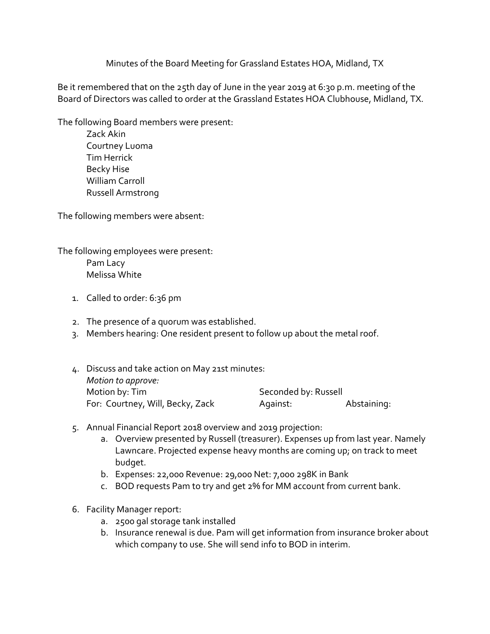Minutes of the Board Meeting for Grassland Estates HOA, Midland, TX

Be it remembered that on the 25th day of June in the year 2019 at 6:30 p.m. meeting of the Board of Directors was called to order at the Grassland Estates HOA Clubhouse, Midland, TX.

The following Board members were present:

Zack Akin Courtney Luoma Tim Herrick Becky Hise William Carroll Russell Armstrong

The following members were absent:

The following employees were present: Pam Lacy

Melissa White

- 1. Called to order: 6:36 pm
- 2. The presence of a quorum was established.
- 3. Members hearing: One resident present to follow up about the metal roof.
- 4. Discuss and take action on May 21st minutes: *Motion to approve:* Motion by: Tim Seconded by: Russell For: Courtney, Will, Becky, Zack Against: Abstaining:
- 5. Annual Financial Report 2018 overview and 2019 projection:
	- a. Overview presented by Russell (treasurer). Expenses up from last year. Namely Lawncare. Projected expense heavy months are coming up; on track to meet budget.
	- b. Expenses: 22,000 Revenue: 29,000 Net: 7,000 298K in Bank
	- c. BOD requests Pam to try and get 2% for MM account from current bank.
- 6. Facility Manager report:
	- a. 2500 gal storage tank installed
	- b. Insurance renewal is due. Pam will get information from insurance broker about which company to use. She will send info to BOD in interim.